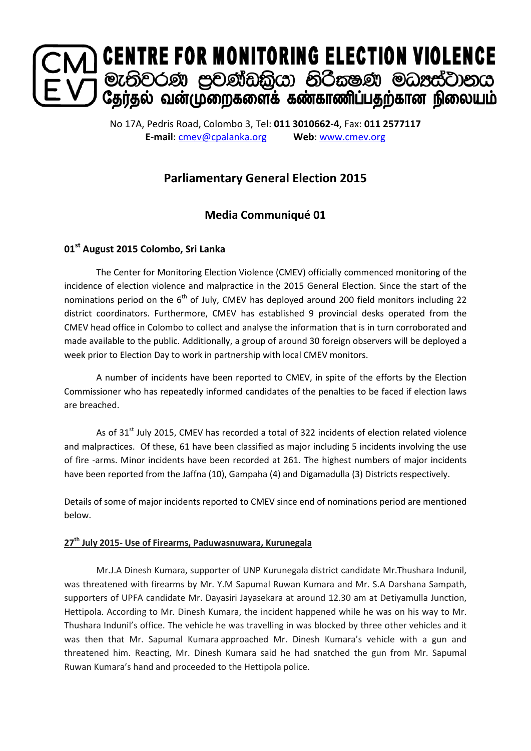

No 17A, Pedris Road, Colombo 3, Tel: **011 3010662-4**, Fax: **011 2577117 E-mail**: [cmev@cpalanka.org](mailto:cmev@cpalanka.org) **Web**: [www.cmev.org](http://www.cmev.org/)

# **Parliamentary General Election 2015**

## **Media Communiqué 01**

## **01st August 2015 Colombo, Sri Lanka**

The Center for Monitoring Election Violence (CMEV) officially commenced monitoring of the incidence of election violence and malpractice in the 2015 General Election. Since the start of the nominations period on the  $6<sup>th</sup>$  of July, CMEV has deployed around 200 field monitors including 22 district coordinators. Furthermore, CMEV has established 9 provincial desks operated from the CMEV head office in Colombo to collect and analyse the information that is in turn corroborated and made available to the public. Additionally, a group of around 30 foreign observers will be deployed a week prior to Election Day to work in partnership with local CMEV monitors.

A number of incidents have been reported to CMEV, in spite of the efforts by the Election Commissioner who has repeatedly informed candidates of the penalties to be faced if election laws are breached.

As of 31<sup>st</sup> July 2015, CMEV has recorded a total of 322 incidents of election related violence and malpractices. Of these, 61 have been classified as major including 5 incidents involving the use of fire -arms. Minor incidents have been recorded at 261. The highest numbers of major incidents have been reported from the Jaffna (10), Gampaha (4) and Digamadulla (3) Districts respectively.

Details of some of major incidents reported to CMEV since end of nominations period are mentioned below.

## **27th July 2015- Use of Firearms, Paduwasnuwara, Kurunegala**

Mr.J.A Dinesh Kumara, supporter of UNP Kurunegala district candidate Mr.Thushara Indunil, was threatened with firearms by Mr. Y.M Sapumal Ruwan Kumara and Mr. S.A Darshana Sampath, supporters of UPFA candidate Mr. Dayasiri Jayasekara at around 12.30 am at Detiyamulla Junction, Hettipola. According to Mr. Dinesh Kumara, the incident happened while he was on his way to Mr. Thushara Indunil's office. The vehicle he was travelling in was blocked by three other vehicles and it was then that Mr. Sapumal Kumara approached Mr. Dinesh Kumara's vehicle with a gun and threatened him. Reacting, Mr. Dinesh Kumara said he had snatched the gun from Mr. Sapumal Ruwan Kumara's hand and proceeded to the Hettipola police.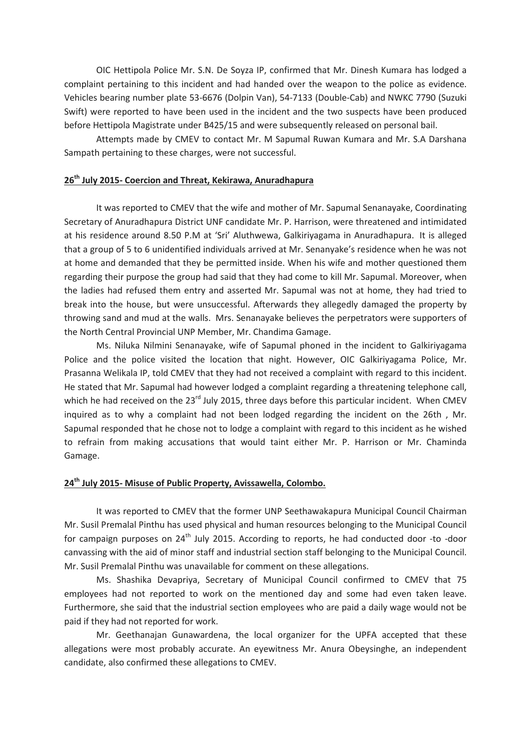OIC Hettipola Police Mr. S.N. De Soyza IP, confirmed that Mr. Dinesh Kumara has lodged a complaint pertaining to this incident and had handed over the weapon to the police as evidence. Vehicles bearing number plate 53-6676 (Dolpin Van), 54-7133 (Double-Cab) and NWKC 7790 (Suzuki Swift) were reported to have been used in the incident and the two suspects have been produced before Hettipola Magistrate under B425/15 and were subsequently released on personal bail.

Attempts made by CMEV to contact Mr. M Sapumal Ruwan Kumara and Mr. S.A Darshana Sampath pertaining to these charges, were not successful.

#### **26th July 2015- Coercion and Threat, Kekirawa, Anuradhapura**

It was reported to CMEV that the wife and mother of Mr. Sapumal Senanayake, Coordinating Secretary of Anuradhapura District UNF candidate Mr. P. Harrison, were threatened and intimidated at his residence around 8.50 P.M at 'Sri' Aluthwewa, Galkiriyagama in Anuradhapura. It is alleged that a group of 5 to 6 unidentified individuals arrived at Mr. Senanyake's residence when he was not at home and demanded that they be permitted inside. When his wife and mother questioned them regarding their purpose the group had said that they had come to kill Mr. Sapumal. Moreover, when the ladies had refused them entry and asserted Mr. Sapumal was not at home, they had tried to break into the house, but were unsuccessful. Afterwards they allegedly damaged the property by throwing sand and mud at the walls. Mrs. Senanayake believes the perpetrators were supporters of the North Central Provincial UNP Member, Mr. Chandima Gamage.

Ms. Niluka Nilmini Senanayake, wife of Sapumal phoned in the incident to Galkiriyagama Police and the police visited the location that night. However, OIC Galkiriyagama Police, Mr. Prasanna Welikala IP, told CMEV that they had not received a complaint with regard to this incident. He stated that Mr. Sapumal had however lodged a complaint regarding a threatening telephone call, which he had received on the 23<sup>rd</sup> July 2015, three days before this particular incident. When CMEV inquired as to why a complaint had not been lodged regarding the incident on the 26th , Mr. Sapumal responded that he chose not to lodge a complaint with regard to this incident as he wished to refrain from making accusations that would taint either Mr. P. Harrison or Mr. Chaminda Gamage.

### **24th July 2015- Misuse of Public Property, Avissawella, Colombo.**

It was reported to CMEV that the former UNP Seethawakapura Municipal Council Chairman Mr. Susil Premalal Pinthu has used physical and human resources belonging to the Municipal Council for campaign purposes on 24<sup>th</sup> July 2015. According to reports, he had conducted door -to -door canvassing with the aid of minor staff and industrial section staff belonging to the Municipal Council. Mr. Susil Premalal Pinthu was unavailable for comment on these allegations.

Ms. Shashika Devapriya, Secretary of Municipal Council confirmed to CMEV that 75 employees had not reported to work on the mentioned day and some had even taken leave. Furthermore, she said that the industrial section employees who are paid a daily wage would not be paid if they had not reported for work.

Mr. Geethanajan Gunawardena, the local organizer for the UPFA accepted that these allegations were most probably accurate. An eyewitness Mr. Anura Obeysinghe, an independent candidate, also confirmed these allegations to CMEV.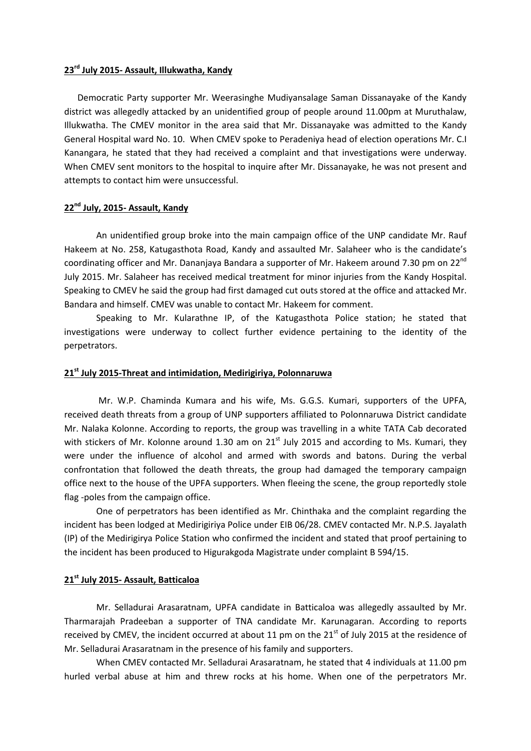#### **23rd July 2015- Assault, Illukwatha, Kandy**

 Democratic Party supporter Mr. Weerasinghe Mudiyansalage Saman Dissanayake of the Kandy district was allegedly attacked by an unidentified group of people around 11.00pm at Muruthalaw, Illukwatha. The CMEV monitor in the area said that Mr. Dissanayake was admitted to the Kandy General Hospital ward No. 10. When CMEV spoke to Peradeniya head of election operations Mr. C.I Kanangara, he stated that they had received a complaint and that investigations were underway. When CMEV sent monitors to the hospital to inquire after Mr. Dissanayake, he was not present and attempts to contact him were unsuccessful.

### **22nd July, 2015- Assault, Kandy**

An unidentified group broke into the main campaign office of the UNP candidate Mr. Rauf Hakeem at No. 258, Katugasthota Road, Kandy and assaulted Mr. Salaheer who is the candidate's coordinating officer and Mr. Dananjaya Bandara a supporter of Mr. Hakeem around 7.30 pm on 22<sup>nd</sup> July 2015. Mr. Salaheer has received medical treatment for minor injuries from the Kandy Hospital. Speaking to CMEV he said the group had first damaged cut outs stored at the office and attacked Mr. Bandara and himself. CMEV was unable to contact Mr. Hakeem for comment.

Speaking to Mr. Kularathne IP, of the Katugasthota Police station; he stated that investigations were underway to collect further evidence pertaining to the identity of the perpetrators.

### **21st July 2015-Threat and intimidation, Medirigiriya, Polonnaruwa**

Mr. W.P. Chaminda Kumara and his wife, Ms. G.G.S. Kumari, supporters of the UPFA, received death threats from a group of UNP supporters affiliated to Polonnaruwa District candidate Mr. Nalaka Kolonne. According to reports, the group was travelling in a white TATA Cab decorated with stickers of Mr. Kolonne around 1.30 am on  $21<sup>st</sup>$  July 2015 and according to Ms. Kumari, they were under the influence of alcohol and armed with swords and batons. During the verbal confrontation that followed the death threats, the group had damaged the temporary campaign office next to the house of the UPFA supporters. When fleeing the scene, the group reportedly stole flag -poles from the campaign office.

One of perpetrators has been identified as Mr. Chinthaka and the complaint regarding the incident has been lodged at Medirigiriya Police under EIB 06/28. CMEV contacted Mr. N.P.S. Jayalath (IP) of the Medirigirya Police Station who confirmed the incident and stated that proof pertaining to the incident has been produced to Higurakgoda Magistrate under complaint B 594/15.

### **21st July 2015- Assault, Batticaloa**

Mr. Selladurai Arasaratnam, UPFA candidate in Batticaloa was allegedly assaulted by Mr. Tharmarajah Pradeeban a supporter of TNA candidate Mr. Karunagaran. According to reports received by CMEV, the incident occurred at about 11 pm on the  $21<sup>st</sup>$  of July 2015 at the residence of Mr. Selladurai Arasaratnam in the presence of his family and supporters.

When CMEV contacted Mr. Selladurai Arasaratnam, he stated that 4 individuals at 11.00 pm hurled verbal abuse at him and threw rocks at his home. When one of the perpetrators Mr.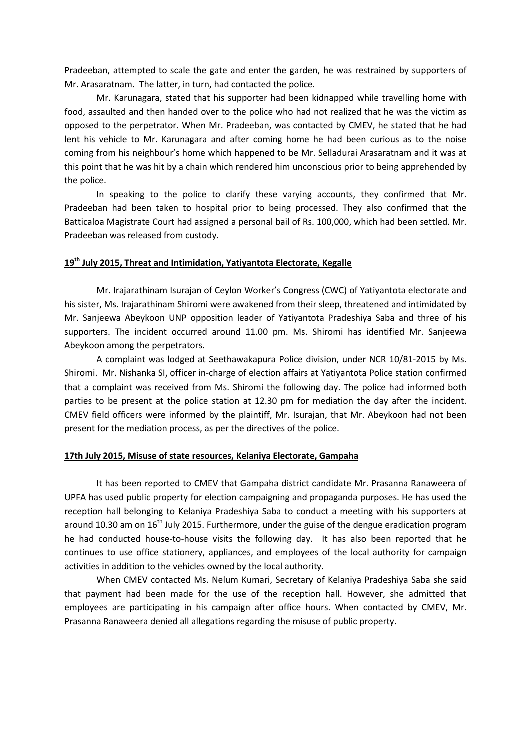Pradeeban, attempted to scale the gate and enter the garden, he was restrained by supporters of Mr. Arasaratnam. The latter, in turn, had contacted the police.

Mr. Karunagara, stated that his supporter had been kidnapped while travelling home with food, assaulted and then handed over to the police who had not realized that he was the victim as opposed to the perpetrator. When Mr. Pradeeban, was contacted by CMEV, he stated that he had lent his vehicle to Mr. Karunagara and after coming home he had been curious as to the noise coming from his neighbour's home which happened to be Mr. Selladurai Arasaratnam and it was at this point that he was hit by a chain which rendered him unconscious prior to being apprehended by the police.

In speaking to the police to clarify these varying accounts, they confirmed that Mr. Pradeeban had been taken to hospital prior to being processed. They also confirmed that the Batticaloa Magistrate Court had assigned a personal bail of Rs. 100,000, which had been settled. Mr. Pradeeban was released from custody.

#### **19th July 2015, Threat and Intimidation, Yatiyantota Electorate, Kegalle**

Mr. Irajarathinam Isurajan of Ceylon Worker's Congress (CWC) of Yatiyantota electorate and his sister, Ms. Irajarathinam Shiromi were awakened from their sleep, threatened and intimidated by Mr. Sanjeewa Abeykoon UNP opposition leader of Yatiyantota Pradeshiya Saba and three of his supporters. The incident occurred around 11.00 pm. Ms. Shiromi has identified Mr. Sanjeewa Abeykoon among the perpetrators.

A complaint was lodged at Seethawakapura Police division, under NCR 10/81-2015 by Ms. Shiromi. Mr. Nishanka SI, officer in-charge of election affairs at Yatiyantota Police station confirmed that a complaint was received from Ms. Shiromi the following day. The police had informed both parties to be present at the police station at 12.30 pm for mediation the day after the incident. CMEV field officers were informed by the plaintiff, Mr. Isurajan, that Mr. Abeykoon had not been present for the mediation process, as per the directives of the police.

### **17th July 2015, Misuse of state resources, Kelaniya Electorate, Gampaha**

It has been reported to CMEV that Gampaha district candidate Mr. Prasanna Ranaweera of UPFA has used public property for election campaigning and propaganda purposes. He has used the reception hall belonging to Kelaniya Pradeshiya Saba to conduct a meeting with his supporters at around 10.30 am on  $16<sup>th</sup>$  July 2015. Furthermore, under the guise of the dengue eradication program he had conducted house-to-house visits the following day. It has also been reported that he continues to use office stationery, appliances, and employees of the local authority for campaign activities in addition to the vehicles owned by the local authority.

When CMEV contacted Ms. Nelum Kumari, Secretary of Kelaniya Pradeshiya Saba she said that payment had been made for the use of the reception hall. However, she admitted that employees are participating in his campaign after office hours. When contacted by CMEV, Mr. Prasanna Ranaweera denied all allegations regarding the misuse of public property.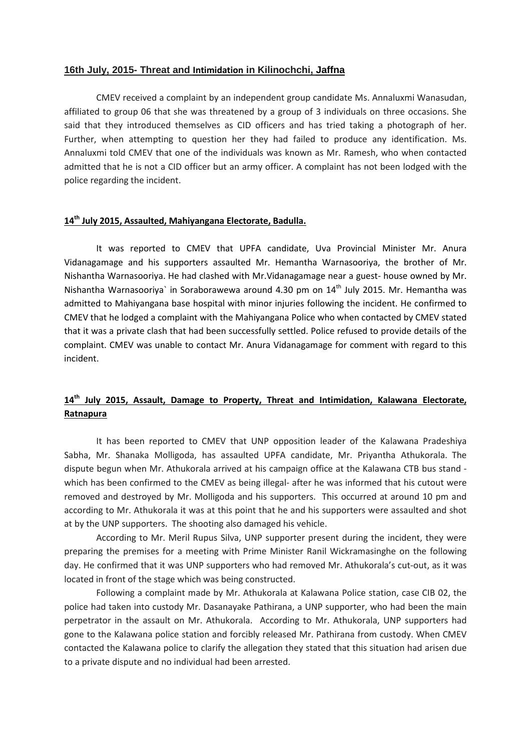#### **16th July, 2015- Threat and Intimidation in Kilinochchi, Jaffna**

CMEV received a complaint by an independent group candidate Ms. Annaluxmi Wanasudan, affiliated to group 06 that she was threatened by a group of 3 individuals on three occasions. She said that they introduced themselves as CID officers and has tried taking a photograph of her. Further, when attempting to question her they had failed to produce any identification. Ms. Annaluxmi told CMEV that one of the individuals was known as Mr. Ramesh, who when contacted admitted that he is not a CID officer but an army officer. A complaint has not been lodged with the police regarding the incident.

### **14th July 2015, Assaulted, Mahiyangana Electorate, Badulla.**

It was reported to CMEV that UPFA candidate, Uva Provincial Minister Mr. Anura Vidanagamage and his supporters assaulted Mr. Hemantha Warnasooriya, the brother of Mr. Nishantha Warnasooriya. He had clashed with Mr.Vidanagamage near a guest- house owned by Mr. Nishantha Warnasooriya` in Soraborawewa around 4.30 pm on  $14<sup>th</sup>$  July 2015. Mr. Hemantha was admitted to Mahiyangana base hospital with minor injuries following the incident. He confirmed to CMEV that he lodged a complaint with the Mahiyangana Police who when contacted by CMEV stated that it was a private clash that had been successfully settled. Police refused to provide details of the complaint. CMEV was unable to contact Mr. Anura Vidanagamage for comment with regard to this incident.

## **14th July 2015, Assault, Damage to Property, Threat and Intimidation, Kalawana Electorate, Ratnapura**

It has been reported to CMEV that UNP opposition leader of the Kalawana Pradeshiya Sabha, Mr. Shanaka Molligoda, has assaulted UPFA candidate, Mr. Priyantha Athukorala. The dispute begun when Mr. Athukorala arrived at his campaign office at the Kalawana CTB bus stand which has been confirmed to the CMEV as being illegal- after he was informed that his cutout were removed and destroyed by Mr. Molligoda and his supporters. This occurred at around 10 pm and according to Mr. Athukorala it was at this point that he and his supporters were assaulted and shot at by the UNP supporters. The shooting also damaged his vehicle.

According to Mr. Meril Rupus Silva, UNP supporter present during the incident, they were preparing the premises for a meeting with Prime Minister Ranil Wickramasinghe on the following day. He confirmed that it was UNP supporters who had removed Mr. Athukorala's cut-out, as it was located in front of the stage which was being constructed.

Following a complaint made by Mr. Athukorala at Kalawana Police station, case CIB 02, the police had taken into custody Mr. Dasanayake Pathirana, a UNP supporter, who had been the main perpetrator in the assault on Mr. Athukorala. According to Mr. Athukorala, UNP supporters had gone to the Kalawana police station and forcibly released Mr. Pathirana from custody. When CMEV contacted the Kalawana police to clarify the allegation they stated that this situation had arisen due to a private dispute and no individual had been arrested.